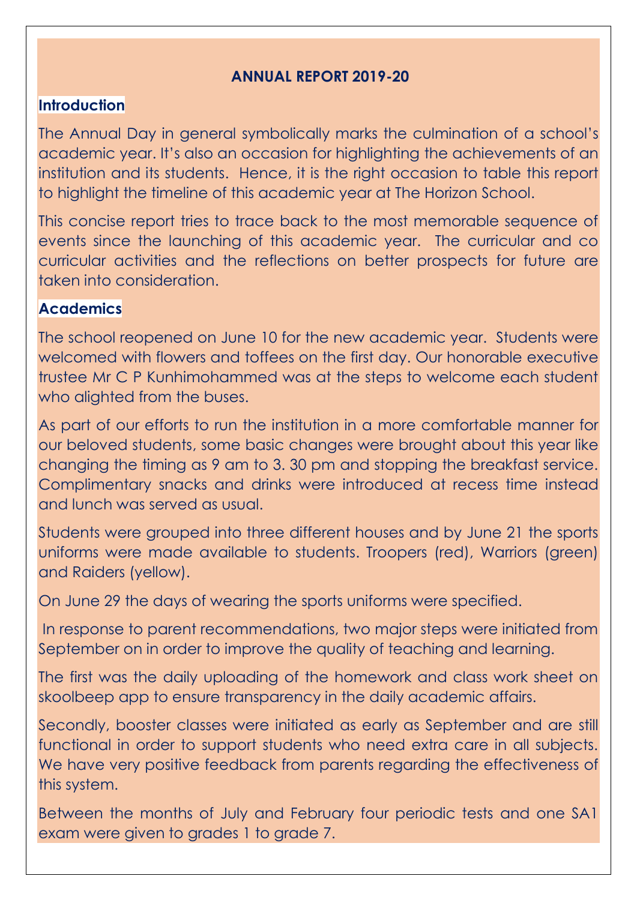### **ANNUAL REPORT 2019-20**

#### **Introduction**

The Annual Day in general symbolically marks the culmination of a school's academic year. It's also an occasion for highlighting the achievements of an institution and its students. Hence, it is the right occasion to table this report to highlight the timeline of this academic year at The Horizon School.

This concise report tries to trace back to the most memorable sequence of events since the launching of this academic year. The curricular and co curricular activities and the reflections on better prospects for future are taken into consideration.

#### **Academics**

The school reopened on June 10 for the new academic year. Students were welcomed with flowers and toffees on the first day. Our honorable executive trustee Mr C P Kunhimohammed was at the steps to welcome each student who alighted from the buses.

As part of our efforts to run the institution in a more comfortable manner for our beloved students, some basic changes were brought about this year like changing the timing as 9 am to 3. 30 pm and stopping the breakfast service. Complimentary snacks and drinks were introduced at recess time instead and lunch was served as usual.

Students were grouped into three different houses and by June 21 the sports uniforms were made available to students. Troopers (red), Warriors (green) and Raiders (yellow).

On June 29 the days of wearing the sports uniforms were specified.

In response to parent recommendations, two major steps were initiated from September on in order to improve the quality of teaching and learning.

The first was the daily uploading of the homework and class work sheet on skoolbeep app to ensure transparency in the daily academic affairs.

Secondly, booster classes were initiated as early as September and are still functional in order to support students who need extra care in all subjects. We have very positive feedback from parents regarding the effectiveness of this system.

Between the months of July and February four periodic tests and one SA1 exam were given to grades 1 to grade 7.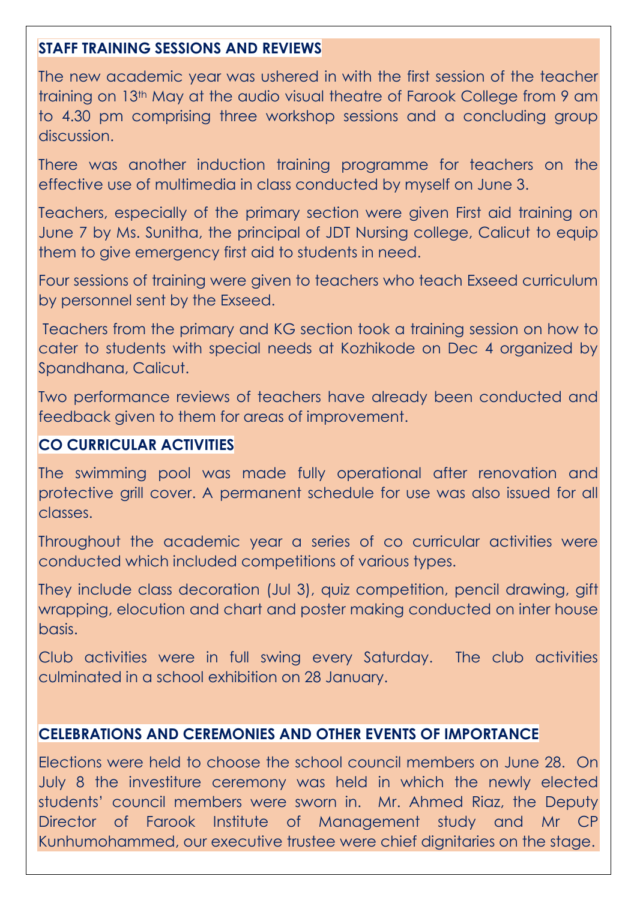## **STAFF TRAINING SESSIONS AND REVIEWS**

The new academic year was ushered in with the first session of the teacher training on 13th May at the audio visual theatre of Farook College from 9 am to 4.30 pm comprising three workshop sessions and a concluding group discussion.

There was another induction training programme for teachers on the effective use of multimedia in class conducted by myself on June 3.

Teachers, especially of the primary section were given First aid training on June 7 by Ms. Sunitha, the principal of JDT Nursing college, Calicut to equip them to give emergency first aid to students in need.

Four sessions of training were given to teachers who teach Exseed curriculum by personnel sent by the Exseed.

Teachers from the primary and KG section took a training session on how to cater to students with special needs at Kozhikode on Dec 4 organized by Spandhana, Calicut.

Two performance reviews of teachers have already been conducted and feedback given to them for areas of improvement.

# **CO CURRICULAR ACTIVITIES**

The swimming pool was made fully operational after renovation and protective grill cover. A permanent schedule for use was also issued for all classes.

Throughout the academic year a series of co curricular activities were conducted which included competitions of various types.

They include class decoration (Jul 3), quiz competition, pencil drawing, gift wrapping, elocution and chart and poster making conducted on inter house basis.

Club activities were in full swing every Saturday. The club activities culminated in a school exhibition on 28 January.

## **CELEBRATIONS AND CEREMONIES AND OTHER EVENTS OF IMPORTANCE**

Elections were held to choose the school council members on June 28. On July 8 the investiture ceremony was held in which the newly elected students' council members were sworn in. Mr. Ahmed Riaz, the Deputy Director of Farook Institute of Management study and Mr CP Kunhumohammed, our executive trustee were chief dignitaries on the stage.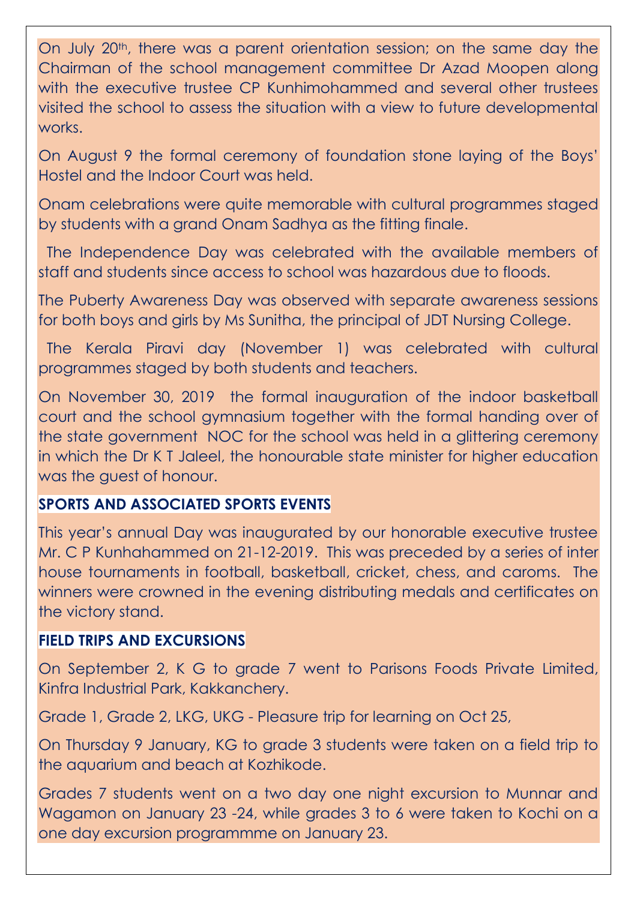On July 20<sup>th</sup>, there was a parent orientation session; on the same day the Chairman of the school management committee Dr Azad Moopen along with the executive trustee CP Kunhimohammed and several other trustees visited the school to assess the situation with a view to future developmental works.

On August 9 the formal ceremony of foundation stone laying of the Boys' Hostel and the Indoor Court was held.

Onam celebrations were quite memorable with cultural programmes staged by students with a grand Onam Sadhya as the fitting finale.

 The Independence Day was celebrated with the available members of staff and students since access to school was hazardous due to floods.

The Puberty Awareness Day was observed with separate awareness sessions for both boys and girls by Ms Sunitha, the principal of JDT Nursing College.

 The Kerala Piravi day (November 1) was celebrated with cultural programmes staged by both students and teachers.

On November 30, 2019 the formal inauguration of the indoor basketball court and the school gymnasium together with the formal handing over of the state government NOC for the school was held in a glittering ceremony in which the Dr K T Jaleel, the honourable state minister for higher education was the guest of honour.

## **SPORTS AND ASSOCIATED SPORTS EVENTS**

This year's annual Day was inaugurated by our honorable executive trustee Mr. C P Kunhahammed on 21-12-2019. This was preceded by a series of inter house tournaments in football, basketball, cricket, chess, and caroms. The winners were crowned in the evening distributing medals and certificates on the victory stand.

#### **FIELD TRIPS AND EXCURSIONS**

On September 2, K G to grade 7 went to Parisons Foods Private Limited, Kinfra Industrial Park, Kakkanchery.

Grade 1, Grade 2, LKG, UKG - Pleasure trip for learning on Oct 25,

On Thursday 9 January, KG to grade 3 students were taken on a field trip to the aquarium and beach at Kozhikode.

Grades 7 students went on a two day one night excursion to Munnar and Wagamon on January 23 -24, while grades 3 to 6 were taken to Kochi on a one day excursion programmme on January 23.